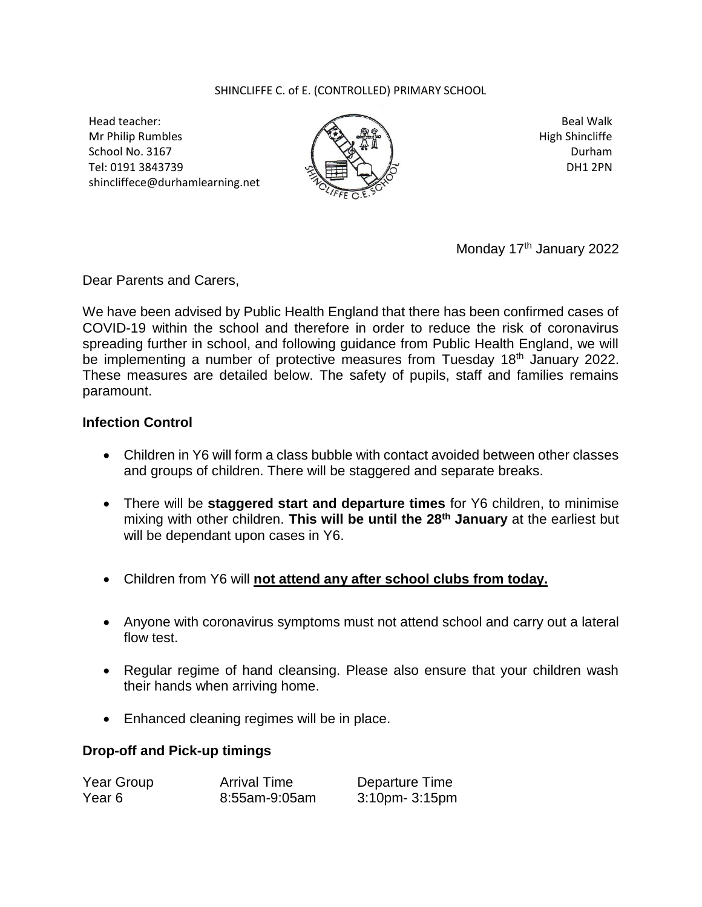## SHINCLIFFE C. of E. (CONTROLLED) PRIMARY SCHOOL

Head teacher: Mr Philip Rumbles School No. 3167 Tel: 0191 3843739 shincliffece@durhamlearning.net



Beal Walk High Shincliffe Durham DH1 2PN

Monday 17<sup>th</sup> January 2022

Dear Parents and Carers,

We have been advised by Public Health England that there has been confirmed cases of COVID-19 within the school and therefore in order to reduce the risk of coronavirus spreading further in school, and following guidance from Public Health England, we will be implementing a number of protective measures from Tuesday 18<sup>th</sup> January 2022. These measures are detailed below. The safety of pupils, staff and families remains paramount.

## **Infection Control**

- Children in Y6 will form a class bubble with contact avoided between other classes and groups of children. There will be staggered and separate breaks.
- There will be **staggered start and departure times** for Y6 children, to minimise mixing with other children. **This will be until the 28th January** at the earliest but will be dependant upon cases in Y6.
- Children from Y6 will **not attend any after school clubs from today.**
- Anyone with coronavirus symptoms must not attend school and carry out a lateral flow test.
- Regular regime of hand cleansing. Please also ensure that your children wash their hands when arriving home.
- Enhanced cleaning regimes will be in place.

## **Drop-off and Pick-up timings**

| Year Group | <b>Arrival Time</b> | Departure Time       |
|------------|---------------------|----------------------|
| Year 6     | 8:55am-9:05am       | $3:10$ pm- $3:15$ pm |